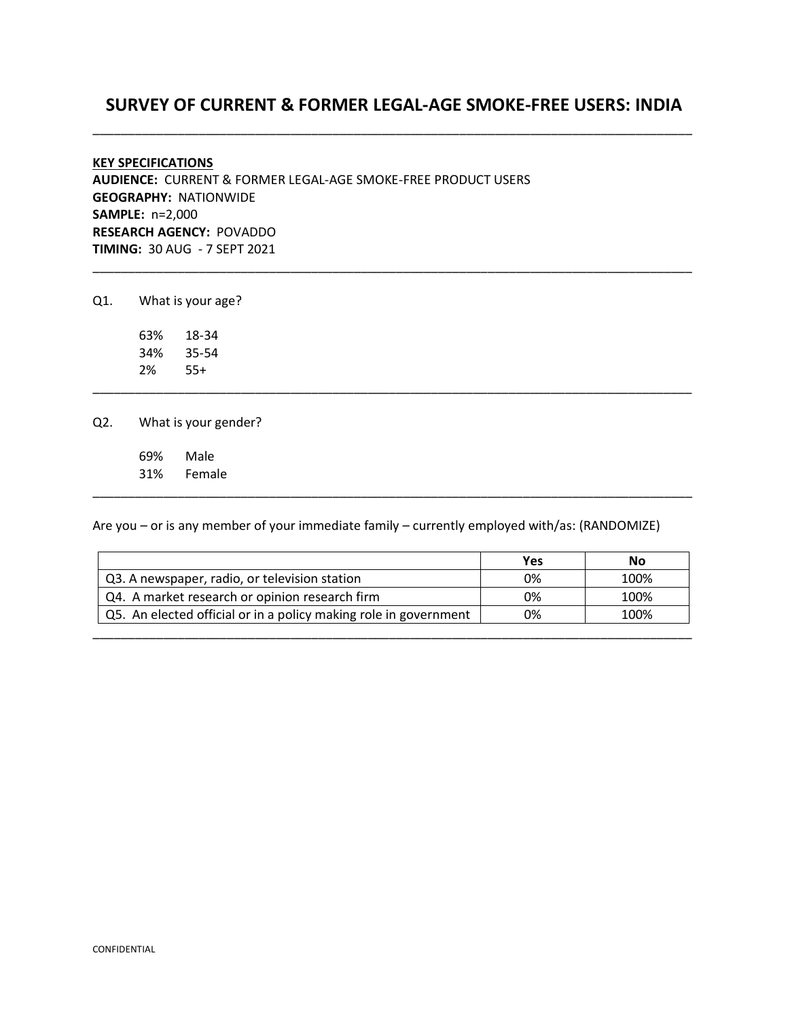# **SURVEY OF CURRENT & FORMER LEGAL-AGE SMOKE-FREE USERS: INDIA** \_\_\_\_\_\_\_\_\_\_\_\_\_\_\_\_\_\_\_\_\_\_\_\_\_\_\_\_\_\_\_\_\_\_\_\_\_\_\_\_\_\_\_\_\_\_\_\_\_\_\_\_\_\_\_\_\_\_\_\_\_\_\_\_\_\_\_\_\_\_\_\_\_\_\_\_\_\_\_\_\_\_\_\_\_

\_\_\_\_\_\_\_\_\_\_\_\_\_\_\_\_\_\_\_\_\_\_\_\_\_\_\_\_\_\_\_\_\_\_\_\_\_\_\_\_\_\_\_\_\_\_\_\_\_\_\_\_\_\_\_\_\_\_\_\_\_\_\_\_\_\_\_\_\_\_\_\_\_\_\_\_\_\_\_\_\_\_\_\_\_

\_\_\_\_\_\_\_\_\_\_\_\_\_\_\_\_\_\_\_\_\_\_\_\_\_\_\_\_\_\_\_\_\_\_\_\_\_\_\_\_\_\_\_\_\_\_\_\_\_\_\_\_\_\_\_\_\_\_\_\_\_\_\_\_\_\_\_\_\_\_\_\_\_\_\_\_\_\_\_\_\_\_\_\_\_

## **KEY SPECIFICATIONS AUDIENCE:** CURRENT & FORMER LEGAL-AGE SMOKE-FREE PRODUCT USERS **GEOGRAPHY:** NATIONWIDE **SAMPLE:** n=2,000 **RESEARCH AGENCY:** POVADDO **TIMING:** 30 AUG - 7 SEPT 2021

Q1. What is your age?

63% 18-34 34% 35-54 2% 55+

Q2. What is your gender?

69% Male 31% Female

Are you – or is any member of your immediate family – currently employed with/as: (RANDOMIZE)

|                                                                  | Yes | No   |
|------------------------------------------------------------------|-----|------|
| Q3. A newspaper, radio, or television station                    | 0%  | 100% |
| Q4. A market research or opinion research firm                   | 0%  | 100% |
| Q5. An elected official or in a policy making role in government | 0%  | 100% |
|                                                                  |     |      |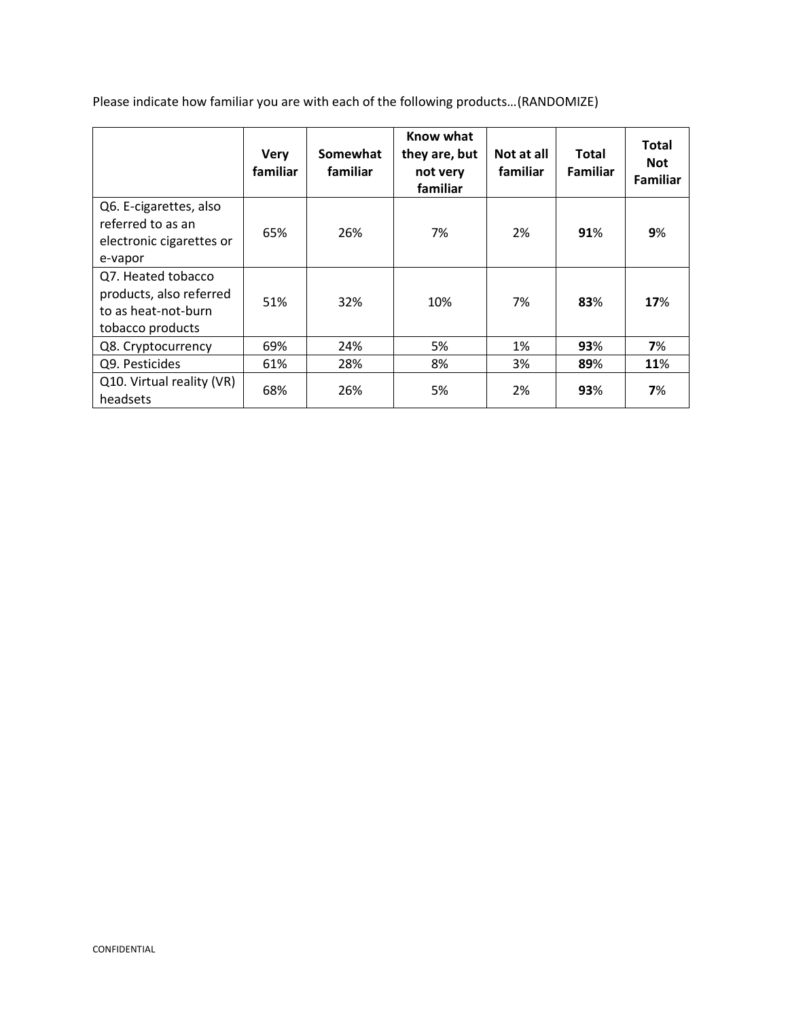Please indicate how familiar you are with each of the following products…(RANDOMIZE)

|                                                                                          | <b>Very</b><br>familiar | Somewhat<br>familiar | Know what<br>they are, but<br>not very<br>familiar | Not at all<br>familiar | <b>Total</b><br><b>Familiar</b> | <b>Total</b><br><b>Not</b><br><b>Familiar</b> |
|------------------------------------------------------------------------------------------|-------------------------|----------------------|----------------------------------------------------|------------------------|---------------------------------|-----------------------------------------------|
| Q6. E-cigarettes, also<br>referred to as an<br>electronic cigarettes or<br>e-vapor       | 65%                     | 26%                  | 7%                                                 | 2%                     | 91%                             | 9%                                            |
| Q7. Heated tobacco<br>products, also referred<br>to as heat-not-burn<br>tobacco products | 51%                     | 32%                  | 10%                                                | 7%                     | 83%                             | 17%                                           |
| Q8. Cryptocurrency                                                                       | 69%                     | 24%                  | 5%                                                 | 1%                     | 93%                             | 7%                                            |
| Q9. Pesticides                                                                           | 61%                     | 28%                  | 8%                                                 | 3%                     | 89%                             | 11%                                           |
| Q10. Virtual reality (VR)<br>headsets                                                    | 68%                     | 26%                  | 5%                                                 | 2%                     | 93%                             | 7%                                            |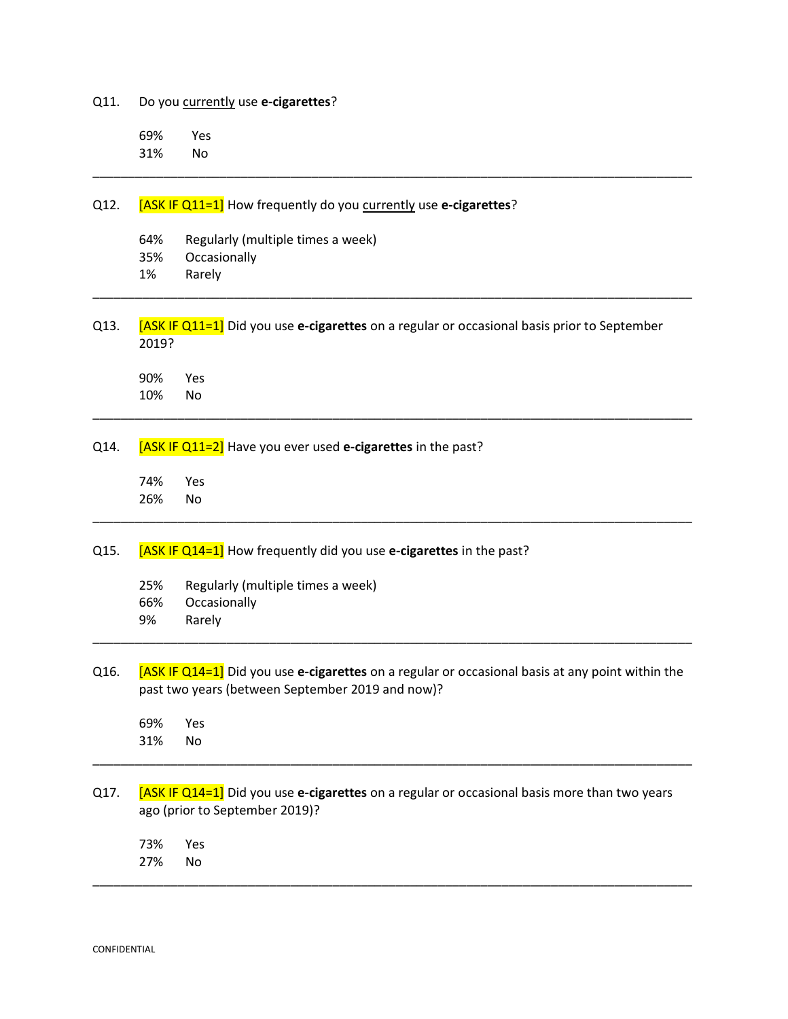Q11. Do you currently use **e-cigarettes**? 69% Yes 31% No \_\_\_\_\_\_\_\_\_\_\_\_\_\_\_\_\_\_\_\_\_\_\_\_\_\_\_\_\_\_\_\_\_\_\_\_\_\_\_\_\_\_\_\_\_\_\_\_\_\_\_\_\_\_\_\_\_\_\_\_\_\_\_\_\_\_\_\_\_\_\_\_\_\_\_\_\_\_\_\_\_\_\_\_\_ Q12. **[ASK IF Q11=1]** How frequently do you currently use e-cigarettes? 64% Regularly (multiple times a week) 35% Occasionally 1% Rarely \_\_\_\_\_\_\_\_\_\_\_\_\_\_\_\_\_\_\_\_\_\_\_\_\_\_\_\_\_\_\_\_\_\_\_\_\_\_\_\_\_\_\_\_\_\_\_\_\_\_\_\_\_\_\_\_\_\_\_\_\_\_\_\_\_\_\_\_\_\_\_\_\_\_\_\_\_\_\_\_\_\_\_\_\_ Q13. [ASK IF Q11=1] Did you use **e-cigarettes** on a regular or occasional basis prior to September 2019? 90% Yes 10% No \_\_\_\_\_\_\_\_\_\_\_\_\_\_\_\_\_\_\_\_\_\_\_\_\_\_\_\_\_\_\_\_\_\_\_\_\_\_\_\_\_\_\_\_\_\_\_\_\_\_\_\_\_\_\_\_\_\_\_\_\_\_\_\_\_\_\_\_\_\_\_\_\_\_\_\_\_\_\_\_\_\_\_\_\_ Q14. [ASK IF Q11=2] Have you ever used **e-cigarettes** in the past? 74% Yes 26% No \_\_\_\_\_\_\_\_\_\_\_\_\_\_\_\_\_\_\_\_\_\_\_\_\_\_\_\_\_\_\_\_\_\_\_\_\_\_\_\_\_\_\_\_\_\_\_\_\_\_\_\_\_\_\_\_\_\_\_\_\_\_\_\_\_\_\_\_\_\_\_\_\_\_\_\_\_\_\_\_\_\_\_\_\_ Q15. [ASK IF Q14=1] How frequently did you use **e-cigarettes** in the past? 25% Regularly (multiple times a week) 66% Occasionally 9% Rarely \_\_\_\_\_\_\_\_\_\_\_\_\_\_\_\_\_\_\_\_\_\_\_\_\_\_\_\_\_\_\_\_\_\_\_\_\_\_\_\_\_\_\_\_\_\_\_\_\_\_\_\_\_\_\_\_\_\_\_\_\_\_\_\_\_\_\_\_\_\_\_\_\_\_\_\_\_\_\_\_\_\_\_\_\_ Q16. [ASK IF Q14=1] Did you use **e-cigarettes** on a regular or occasional basis at any point within the past two years (between September 2019 and now)? 69% Yes 31% No \_\_\_\_\_\_\_\_\_\_\_\_\_\_\_\_\_\_\_\_\_\_\_\_\_\_\_\_\_\_\_\_\_\_\_\_\_\_\_\_\_\_\_\_\_\_\_\_\_\_\_\_\_\_\_\_\_\_\_\_\_\_\_\_\_\_\_\_\_\_\_\_\_\_\_\_\_\_\_\_\_\_\_\_\_ Q17. [ASK IF Q14=1] Did you use **e-cigarettes** on a regular or occasional basis more than two years ago (prior to September 2019)? 73% Yes 27% No \_\_\_\_\_\_\_\_\_\_\_\_\_\_\_\_\_\_\_\_\_\_\_\_\_\_\_\_\_\_\_\_\_\_\_\_\_\_\_\_\_\_\_\_\_\_\_\_\_\_\_\_\_\_\_\_\_\_\_\_\_\_\_\_\_\_\_\_\_\_\_\_\_\_\_\_\_\_\_\_\_\_\_\_\_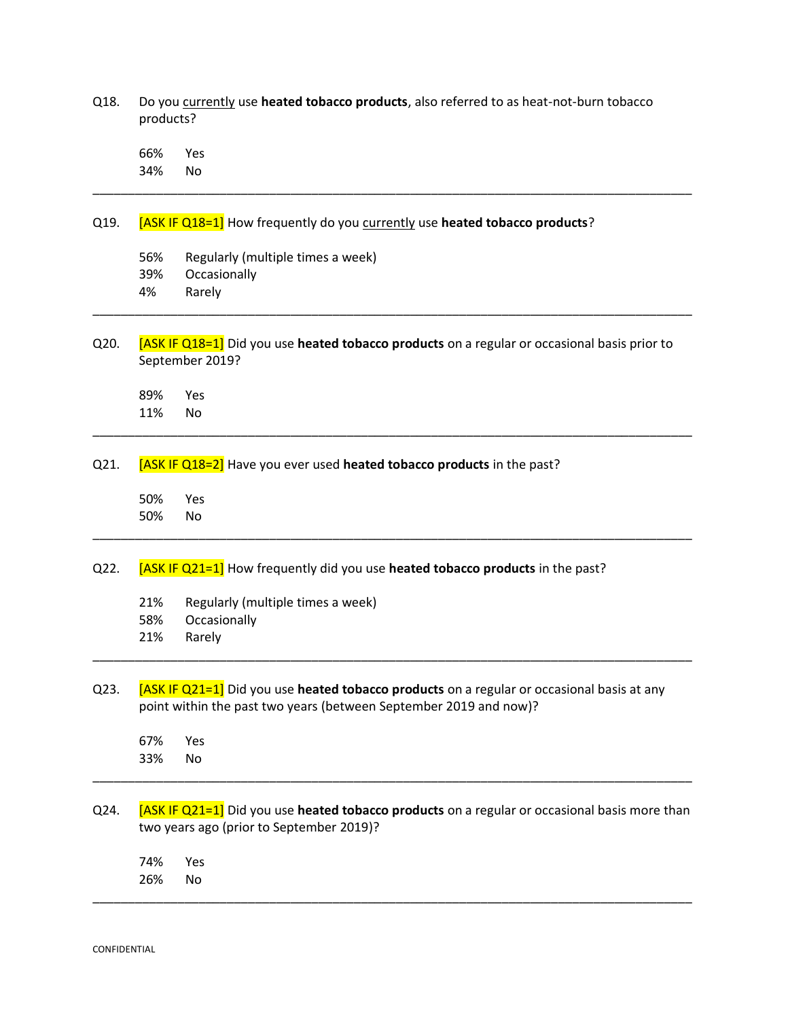Q18. Do you currently use **heated tobacco products**, also referred to as heat-not-burn tobacco products? 66% Yes 34% No \_\_\_\_\_\_\_\_\_\_\_\_\_\_\_\_\_\_\_\_\_\_\_\_\_\_\_\_\_\_\_\_\_\_\_\_\_\_\_\_\_\_\_\_\_\_\_\_\_\_\_\_\_\_\_\_\_\_\_\_\_\_\_\_\_\_\_\_\_\_\_\_\_\_\_\_\_\_\_\_\_\_\_\_\_ Q19. [ASK IF Q18=1] How frequently do you currently use **heated tobacco products**? 56% Regularly (multiple times a week) 39% Occasionally 4% Rarely \_\_\_\_\_\_\_\_\_\_\_\_\_\_\_\_\_\_\_\_\_\_\_\_\_\_\_\_\_\_\_\_\_\_\_\_\_\_\_\_\_\_\_\_\_\_\_\_\_\_\_\_\_\_\_\_\_\_\_\_\_\_\_\_\_\_\_\_\_\_\_\_\_\_\_\_\_\_\_\_\_\_\_\_\_ Q20. [ASK IF Q18=1] Did you use **heated tobacco products** on a regular or occasional basis prior to September 2019? 89% Yes 11% No \_\_\_\_\_\_\_\_\_\_\_\_\_\_\_\_\_\_\_\_\_\_\_\_\_\_\_\_\_\_\_\_\_\_\_\_\_\_\_\_\_\_\_\_\_\_\_\_\_\_\_\_\_\_\_\_\_\_\_\_\_\_\_\_\_\_\_\_\_\_\_\_\_\_\_\_\_\_\_\_\_\_\_\_\_ Q21. **[ASK IF Q18=2]** Have you ever used **heated tobacco products** in the past? 50% Yes 50% No \_\_\_\_\_\_\_\_\_\_\_\_\_\_\_\_\_\_\_\_\_\_\_\_\_\_\_\_\_\_\_\_\_\_\_\_\_\_\_\_\_\_\_\_\_\_\_\_\_\_\_\_\_\_\_\_\_\_\_\_\_\_\_\_\_\_\_\_\_\_\_\_\_\_\_\_\_\_\_\_\_\_\_\_\_ Q22. [ASK IF Q21=1] How frequently did you use **heated tobacco products** in the past? 21% Regularly (multiple times a week) 58% Occasionally 21% Rarely \_\_\_\_\_\_\_\_\_\_\_\_\_\_\_\_\_\_\_\_\_\_\_\_\_\_\_\_\_\_\_\_\_\_\_\_\_\_\_\_\_\_\_\_\_\_\_\_\_\_\_\_\_\_\_\_\_\_\_\_\_\_\_\_\_\_\_\_\_\_\_\_\_\_\_\_\_\_\_\_\_\_\_\_\_ Q23. [ASK IF Q21=1] Did you use **heated tobacco products** on a regular or occasional basis at any point within the past two years (between September 2019 and now)? 67% Yes 33% No \_\_\_\_\_\_\_\_\_\_\_\_\_\_\_\_\_\_\_\_\_\_\_\_\_\_\_\_\_\_\_\_\_\_\_\_\_\_\_\_\_\_\_\_\_\_\_\_\_\_\_\_\_\_\_\_\_\_\_\_\_\_\_\_\_\_\_\_\_\_\_\_\_\_\_\_\_\_\_\_\_\_\_\_\_ Q24. [ASK IF Q21=1] Did you use **heated tobacco products** on a regular or occasional basis more than two years ago (prior to September 2019)? 74% Yes 26% No \_\_\_\_\_\_\_\_\_\_\_\_\_\_\_\_\_\_\_\_\_\_\_\_\_\_\_\_\_\_\_\_\_\_\_\_\_\_\_\_\_\_\_\_\_\_\_\_\_\_\_\_\_\_\_\_\_\_\_\_\_\_\_\_\_\_\_\_\_\_\_\_\_\_\_\_\_\_\_\_\_\_\_\_\_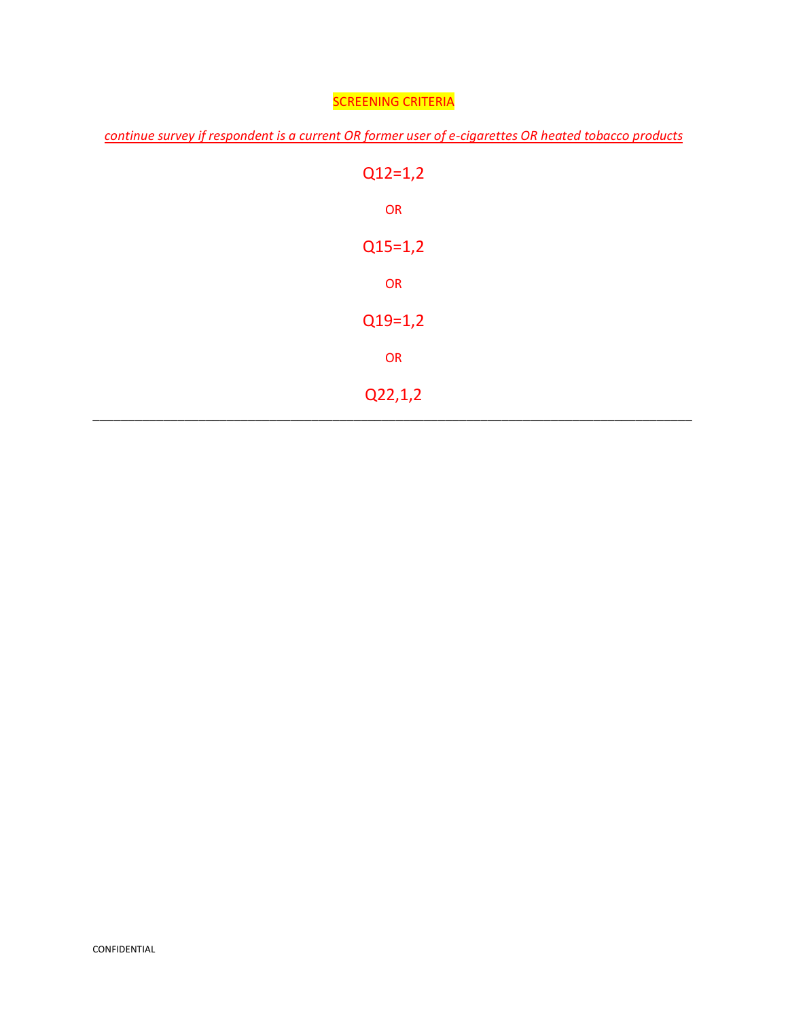## SCREENING CRITERIA

*continue survey if respondent is a current OR former user of e-cigarettes OR heated tobacco products*

| $Q12=1,2$ |
|-----------|
| OR        |
| $Q15=1,2$ |
| OR        |
| $Q19=1,2$ |
| OR        |
| Q22,1,2   |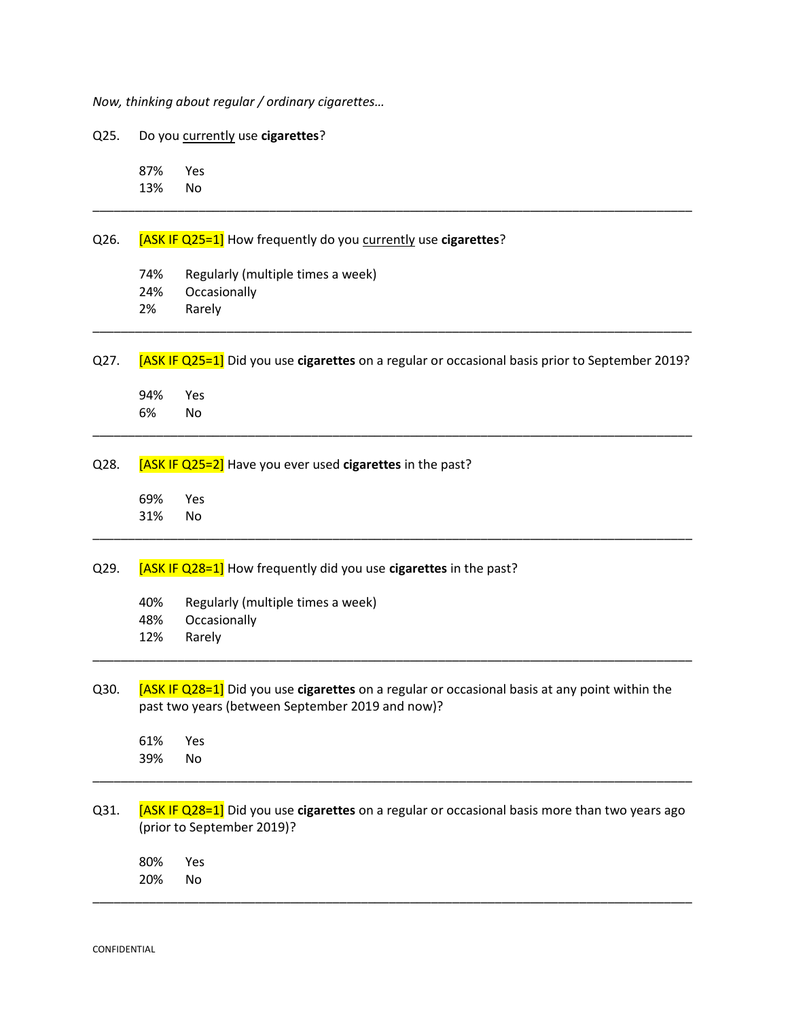*Now, thinking about regular / ordinary cigarettes…* 

Q25. Do you currently use **cigarettes**? 87% Yes 13% No \_\_\_\_\_\_\_\_\_\_\_\_\_\_\_\_\_\_\_\_\_\_\_\_\_\_\_\_\_\_\_\_\_\_\_\_\_\_\_\_\_\_\_\_\_\_\_\_\_\_\_\_\_\_\_\_\_\_\_\_\_\_\_\_\_\_\_\_\_\_\_\_\_\_\_\_\_\_\_\_\_\_\_\_\_ Q26. [ASK IF Q25=1] How frequently do you currently use **cigarettes**? 74% Regularly (multiple times a week) 24% Occasionally 2% Rarely \_\_\_\_\_\_\_\_\_\_\_\_\_\_\_\_\_\_\_\_\_\_\_\_\_\_\_\_\_\_\_\_\_\_\_\_\_\_\_\_\_\_\_\_\_\_\_\_\_\_\_\_\_\_\_\_\_\_\_\_\_\_\_\_\_\_\_\_\_\_\_\_\_\_\_\_\_\_\_\_\_\_\_\_\_ Q27. [ASK IF Q25=1] Did you use **cigarettes** on a regular or occasional basis prior to September 2019? 94% Yes 6% No \_\_\_\_\_\_\_\_\_\_\_\_\_\_\_\_\_\_\_\_\_\_\_\_\_\_\_\_\_\_\_\_\_\_\_\_\_\_\_\_\_\_\_\_\_\_\_\_\_\_\_\_\_\_\_\_\_\_\_\_\_\_\_\_\_\_\_\_\_\_\_\_\_\_\_\_\_\_\_\_\_\_\_\_\_ Q28. [ASK IF Q25=2] Have you ever used **cigarettes** in the past? 69% Yes 31% No \_\_\_\_\_\_\_\_\_\_\_\_\_\_\_\_\_\_\_\_\_\_\_\_\_\_\_\_\_\_\_\_\_\_\_\_\_\_\_\_\_\_\_\_\_\_\_\_\_\_\_\_\_\_\_\_\_\_\_\_\_\_\_\_\_\_\_\_\_\_\_\_\_\_\_\_\_\_\_\_\_\_\_\_\_ Q29. [ASK IF Q28=1] How frequently did you use **cigarettes** in the past? 40% Regularly (multiple times a week) 48% Occasionally 12% Rarely \_\_\_\_\_\_\_\_\_\_\_\_\_\_\_\_\_\_\_\_\_\_\_\_\_\_\_\_\_\_\_\_\_\_\_\_\_\_\_\_\_\_\_\_\_\_\_\_\_\_\_\_\_\_\_\_\_\_\_\_\_\_\_\_\_\_\_\_\_\_\_\_\_\_\_\_\_\_\_\_\_\_\_\_\_ Q30. [ASK IF Q28=1] Did you use **cigarettes** on a regular or occasional basis at any point within the past two years (between September 2019 and now)? 61% Yes 39% No \_\_\_\_\_\_\_\_\_\_\_\_\_\_\_\_\_\_\_\_\_\_\_\_\_\_\_\_\_\_\_\_\_\_\_\_\_\_\_\_\_\_\_\_\_\_\_\_\_\_\_\_\_\_\_\_\_\_\_\_\_\_\_\_\_\_\_\_\_\_\_\_\_\_\_\_\_\_\_\_\_\_\_\_\_ Q31. [ASK IF Q28=1] Did you use **cigarettes** on a regular or occasional basis more than two years ago (prior to September 2019)? 80% Yes 20% No \_\_\_\_\_\_\_\_\_\_\_\_\_\_\_\_\_\_\_\_\_\_\_\_\_\_\_\_\_\_\_\_\_\_\_\_\_\_\_\_\_\_\_\_\_\_\_\_\_\_\_\_\_\_\_\_\_\_\_\_\_\_\_\_\_\_\_\_\_\_\_\_\_\_\_\_\_\_\_\_\_\_\_\_\_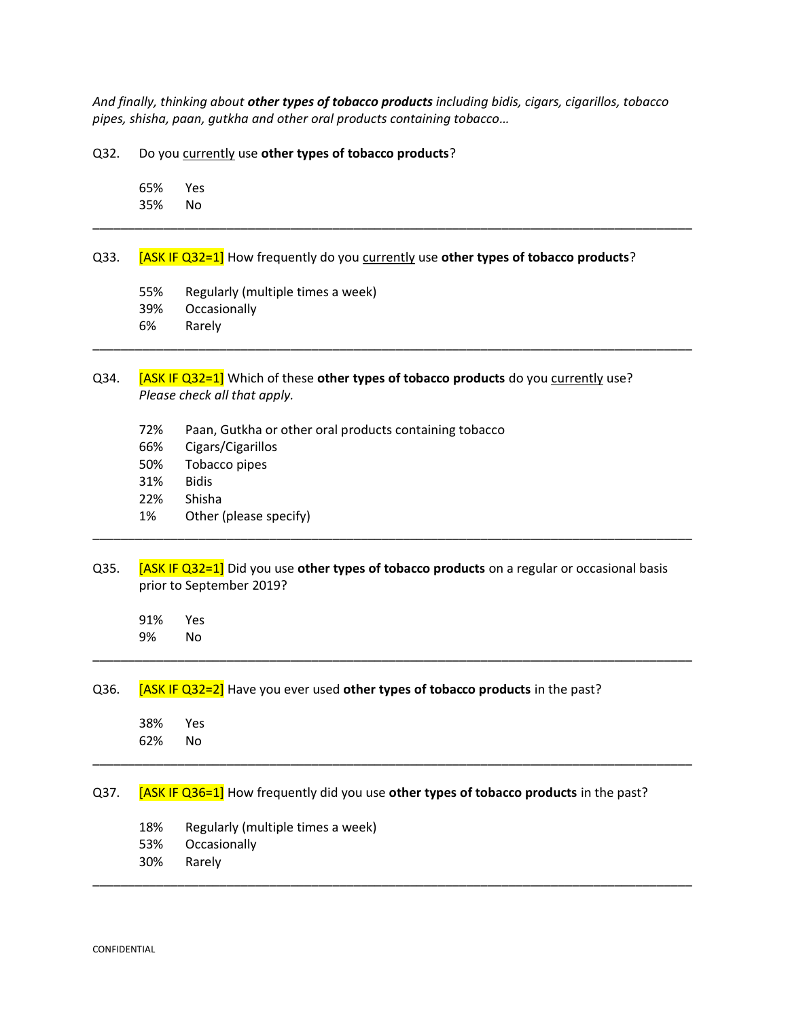*And finally, thinking about other types of tobacco products including bidis, cigars, cigarillos, tobacco pipes, shisha, paan, gutkha and other oral products containing tobacco…* 

\_\_\_\_\_\_\_\_\_\_\_\_\_\_\_\_\_\_\_\_\_\_\_\_\_\_\_\_\_\_\_\_\_\_\_\_\_\_\_\_\_\_\_\_\_\_\_\_\_\_\_\_\_\_\_\_\_\_\_\_\_\_\_\_\_\_\_\_\_\_\_\_\_\_\_\_\_\_\_\_\_\_\_\_\_

\_\_\_\_\_\_\_\_\_\_\_\_\_\_\_\_\_\_\_\_\_\_\_\_\_\_\_\_\_\_\_\_\_\_\_\_\_\_\_\_\_\_\_\_\_\_\_\_\_\_\_\_\_\_\_\_\_\_\_\_\_\_\_\_\_\_\_\_\_\_\_\_\_\_\_\_\_\_\_\_\_\_\_\_\_

Q32. Do you currently use **other types of tobacco products**?

65% Yes 35% No

#### Q33. [ASK IF Q32=1] How frequently do you currently use **other types of tobacco products**?

- 55% Regularly (multiple times a week)
- 39% Occasionally
- 6% Rarely

#### Q34. [ASK IF Q32=1] Which of these **other types of tobacco products** do you currently use? *Please check all that apply.*

- 72% Paan, Gutkha or other oral products containing tobacco
- 66% Cigars/Cigarillos
- 50% Tobacco pipes
- 31% Bidis
- 22% Shisha
- 1% Other (please specify)
- Q35. [ASK IF Q32=1] Did you use **other types of tobacco products** on a regular or occasional basis prior to September 2019?

\_\_\_\_\_\_\_\_\_\_\_\_\_\_\_\_\_\_\_\_\_\_\_\_\_\_\_\_\_\_\_\_\_\_\_\_\_\_\_\_\_\_\_\_\_\_\_\_\_\_\_\_\_\_\_\_\_\_\_\_\_\_\_\_\_\_\_\_\_\_\_\_\_\_\_\_\_\_\_\_\_\_\_\_\_

\_\_\_\_\_\_\_\_\_\_\_\_\_\_\_\_\_\_\_\_\_\_\_\_\_\_\_\_\_\_\_\_\_\_\_\_\_\_\_\_\_\_\_\_\_\_\_\_\_\_\_\_\_\_\_\_\_\_\_\_\_\_\_\_\_\_\_\_\_\_\_\_\_\_\_\_\_\_\_\_\_\_\_\_\_

\_\_\_\_\_\_\_\_\_\_\_\_\_\_\_\_\_\_\_\_\_\_\_\_\_\_\_\_\_\_\_\_\_\_\_\_\_\_\_\_\_\_\_\_\_\_\_\_\_\_\_\_\_\_\_\_\_\_\_\_\_\_\_\_\_\_\_\_\_\_\_\_\_\_\_\_\_\_\_\_\_\_\_\_\_

\_\_\_\_\_\_\_\_\_\_\_\_\_\_\_\_\_\_\_\_\_\_\_\_\_\_\_\_\_\_\_\_\_\_\_\_\_\_\_\_\_\_\_\_\_\_\_\_\_\_\_\_\_\_\_\_\_\_\_\_\_\_\_\_\_\_\_\_\_\_\_\_\_\_\_\_\_\_\_\_\_\_\_\_\_

91% Yes 9% No

#### Q36. [ASK IF Q32=2] Have you ever used **other types of tobacco products** in the past?

38% Yes 62% No

#### Q37. [ASK IF Q36=1] How frequently did you use **other types of tobacco products** in the past?

- 18% Regularly (multiple times a week)
- 53% Occasionally
- 30% Rarely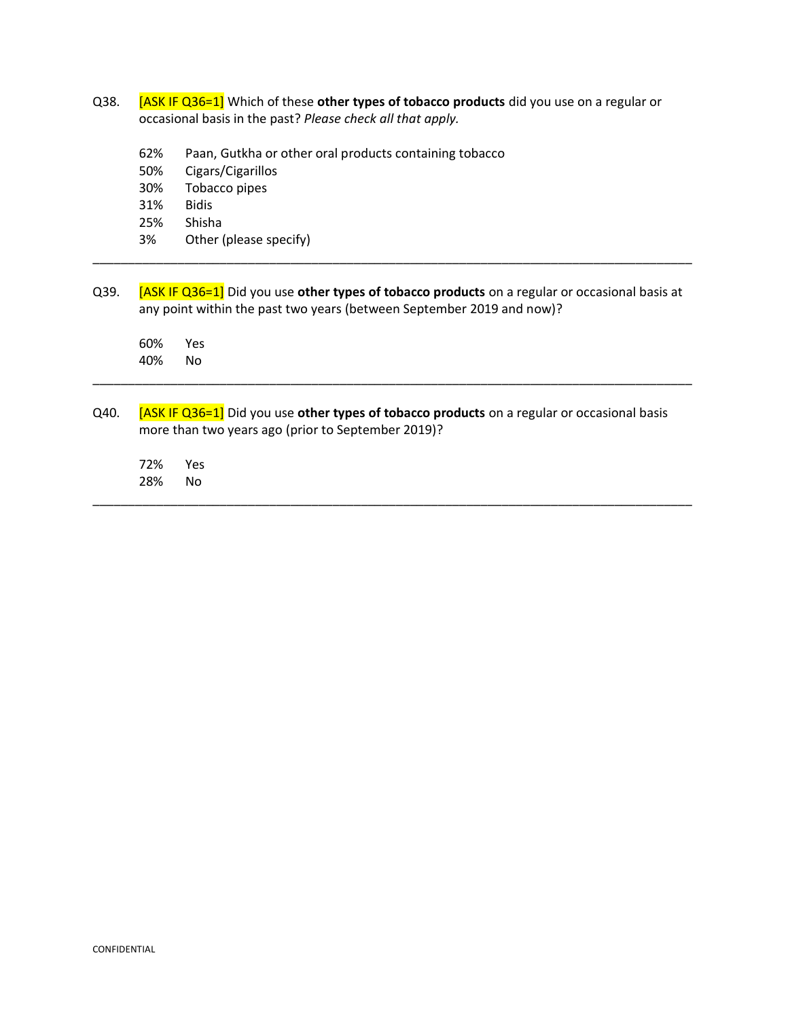- Q38. [ASK IF Q36=1] Which of these **other types of tobacco products** did you use on a regular or occasional basis in the past? *Please check all that apply.*
	- 62% Paan, Gutkha or other oral products containing tobacco
	- 50% Cigars/Cigarillos
	- 30% Tobacco pipes
	- 31% Bidis
	- 25% Shisha
	- 3% Other (please specify)
- Q39. [ASK IF Q36=1] Did you use **other types of tobacco products** on a regular or occasional basis at any point within the past two years (between September 2019 and now)?

\_\_\_\_\_\_\_\_\_\_\_\_\_\_\_\_\_\_\_\_\_\_\_\_\_\_\_\_\_\_\_\_\_\_\_\_\_\_\_\_\_\_\_\_\_\_\_\_\_\_\_\_\_\_\_\_\_\_\_\_\_\_\_\_\_\_\_\_\_\_\_\_\_\_\_\_\_\_\_\_\_\_\_\_\_

60% Yes 40% No

Q40. **[ASK IF Q36=1]** Did you use **other types of tobacco products** on a regular or occasional basis more than two years ago (prior to September 2019)?

\_\_\_\_\_\_\_\_\_\_\_\_\_\_\_\_\_\_\_\_\_\_\_\_\_\_\_\_\_\_\_\_\_\_\_\_\_\_\_\_\_\_\_\_\_\_\_\_\_\_\_\_\_\_\_\_\_\_\_\_\_\_\_\_\_\_\_\_\_\_\_\_\_\_\_\_\_\_\_\_\_\_\_\_\_

\_\_\_\_\_\_\_\_\_\_\_\_\_\_\_\_\_\_\_\_\_\_\_\_\_\_\_\_\_\_\_\_\_\_\_\_\_\_\_\_\_\_\_\_\_\_\_\_\_\_\_\_\_\_\_\_\_\_\_\_\_\_\_\_\_\_\_\_\_\_\_\_\_\_\_\_\_\_\_\_\_\_\_\_\_

72% Yes 28% No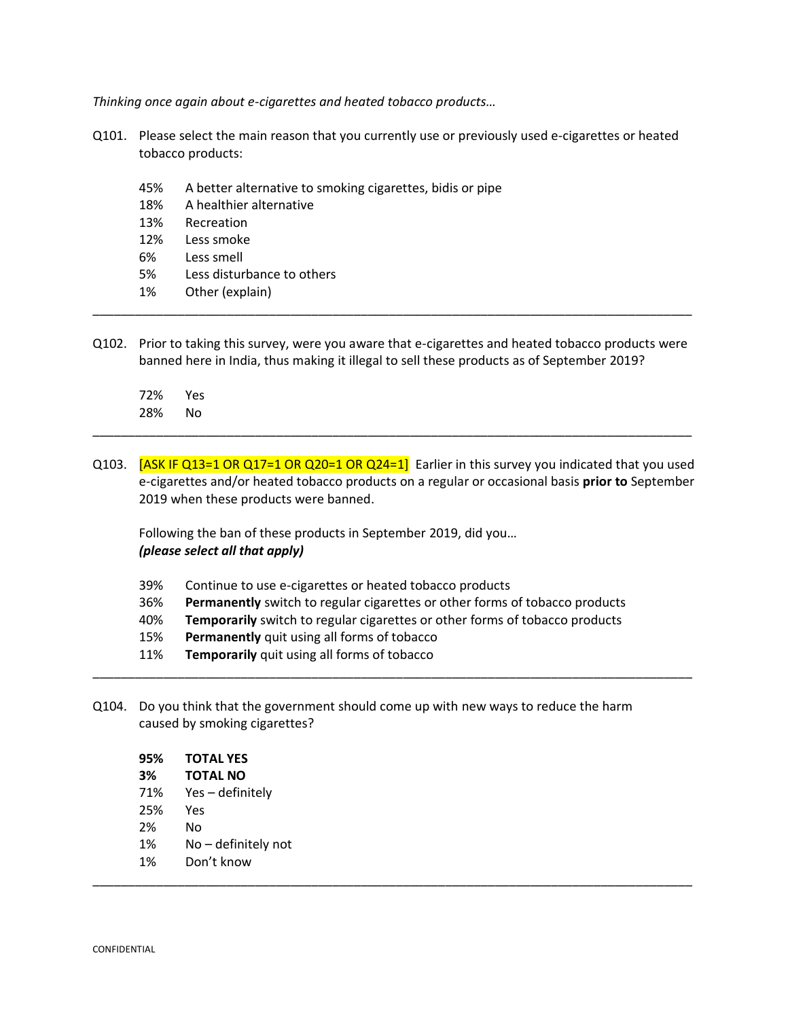*Thinking once again about e-cigarettes and heated tobacco products…* 

- Q101. Please select the main reason that you currently use or previously used e-cigarettes or heated tobacco products:
	- 45% A better alternative to smoking cigarettes, bidis or pipe
	- 18% A healthier alternative
	- 13% Recreation
	- 12% Less smoke
	- 6% Less smell
	- 5% Less disturbance to others
	- 1% Other (explain)
- Q102. Prior to taking this survey, were you aware that e-cigarettes and heated tobacco products were banned here in India, thus making it illegal to sell these products as of September 2019?

\_\_\_\_\_\_\_\_\_\_\_\_\_\_\_\_\_\_\_\_\_\_\_\_\_\_\_\_\_\_\_\_\_\_\_\_\_\_\_\_\_\_\_\_\_\_\_\_\_\_\_\_\_\_\_\_\_\_\_\_\_\_\_\_\_\_\_\_\_\_\_\_\_\_\_\_\_\_\_\_\_\_\_\_\_

- 72% Yes 28% No
- Q103.  $[ASK IF Q13=1 OR Q17=1 OR Q20=1 OR Q24=1]$  Earlier in this survey you indicated that you used e-cigarettes and/or heated tobacco products on a regular or occasional basis **prior to** September 2019 when these products were banned.

\_\_\_\_\_\_\_\_\_\_\_\_\_\_\_\_\_\_\_\_\_\_\_\_\_\_\_\_\_\_\_\_\_\_\_\_\_\_\_\_\_\_\_\_\_\_\_\_\_\_\_\_\_\_\_\_\_\_\_\_\_\_\_\_\_\_\_\_\_\_\_\_\_\_\_\_\_\_\_\_\_\_\_\_\_

Following the ban of these products in September 2019, did you… *(please select all that apply)*

| 39%<br>Continue to use e-cigarettes or heated tobacco products |  |
|----------------------------------------------------------------|--|
|----------------------------------------------------------------|--|

- 36% **Permanently** switch to regular cigarettes or other forms of tobacco products
- 40% **Temporarily** switch to regular cigarettes or other forms of tobacco products

\_\_\_\_\_\_\_\_\_\_\_\_\_\_\_\_\_\_\_\_\_\_\_\_\_\_\_\_\_\_\_\_\_\_\_\_\_\_\_\_\_\_\_\_\_\_\_\_\_\_\_\_\_\_\_\_\_\_\_\_\_\_\_\_\_\_\_\_\_\_\_\_\_\_\_\_\_\_\_\_\_\_\_\_\_

- 15% **Permanently** quit using all forms of tobacco
- 11% **Temporarily** quit using all forms of tobacco
- Q104. Do you think that the government should come up with new ways to reduce the harm caused by smoking cigarettes?

| 95% | <b>TOTAL YES</b>    |
|-----|---------------------|
| 3%  | <b>TOTAL NO</b>     |
| 71% | Yes - definitely    |
| 25% | Yes                 |
| 2%  | N٥                  |
| 1%  | No – definitely not |
| 1%  | Don't know          |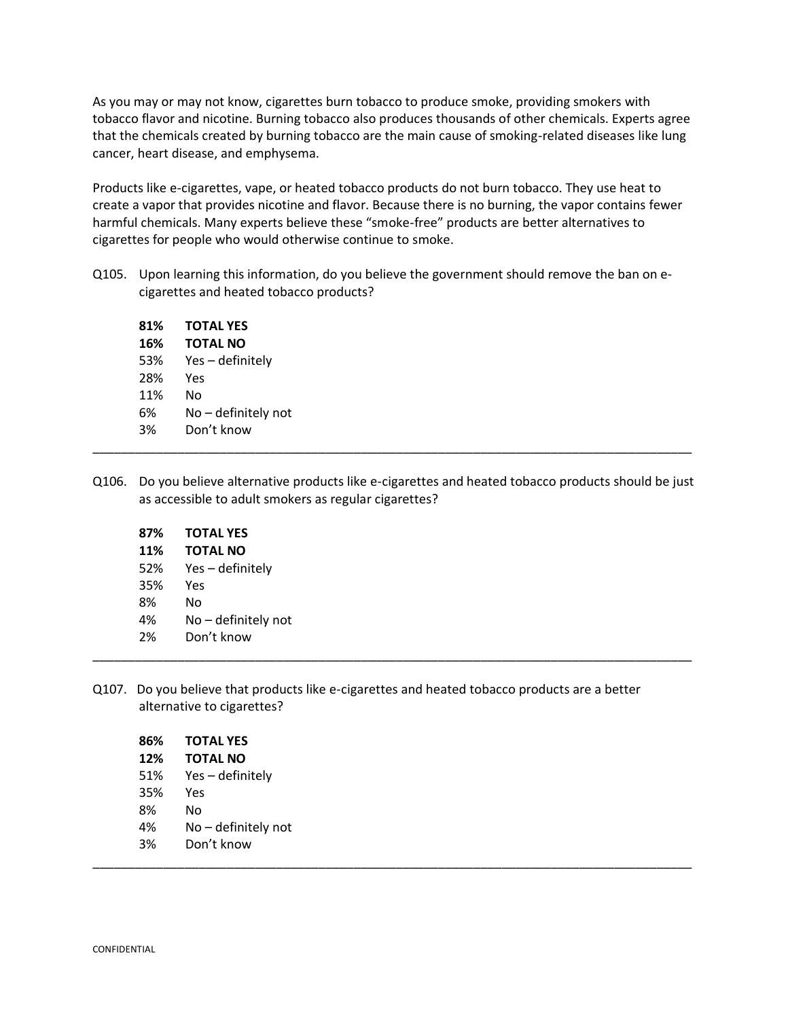As you may or may not know, cigarettes burn tobacco to produce smoke, providing smokers with tobacco flavor and nicotine. Burning tobacco also produces thousands of other chemicals. Experts agree that the chemicals created by burning tobacco are the main cause of smoking-related diseases like lung cancer, heart disease, and emphysema.

Products like e-cigarettes, vape, or heated tobacco products do not burn tobacco. They use heat to create a vapor that provides nicotine and flavor. Because there is no burning, the vapor contains fewer harmful chemicals. Many experts believe these "smoke-free" products are better alternatives to cigarettes for people who would otherwise continue to smoke.

Q105. Upon learning this information, do you believe the government should remove the ban on ecigarettes and heated tobacco products?

| 81% | <b>TOTAL YES</b>    |
|-----|---------------------|
| 16% | <b>TOTAL NO</b>     |
| 53% | Yes – definitely    |
| 28% | Yes                 |
| 11% | No                  |
| 6%  | No – definitely not |
| 3%  | Don't know          |
|     |                     |

Q106. Do you believe alternative products like e-cigarettes and heated tobacco products should be just as accessible to adult smokers as regular cigarettes?

\_\_\_\_\_\_\_\_\_\_\_\_\_\_\_\_\_\_\_\_\_\_\_\_\_\_\_\_\_\_\_\_\_\_\_\_\_\_\_\_\_\_\_\_\_\_\_\_\_\_\_\_\_\_\_\_\_\_\_\_\_\_\_\_\_\_\_\_\_\_\_\_\_\_\_\_\_\_\_\_\_\_\_\_\_

| 87% | <b>TOTAL YES</b>    |
|-----|---------------------|
| 11% | <b>TOTAL NO</b>     |
| 52% | Yes – definitely    |
| 35% | Yes                 |
| 8%  | No                  |
| 4%  | No - definitely not |
| 2%  | Don't know          |
|     |                     |

Q107. Do you believe that products like e-cigarettes and heated tobacco products are a better alternative to cigarettes?

|    | 86%<br><b>TOTAL YES</b> |  |  |
|----|-------------------------|--|--|
|    | <b>TOTAL NO</b><br>12%  |  |  |
|    | Yes - definitely<br>51% |  |  |
|    | 35%<br>Yes              |  |  |
| 8% | No                      |  |  |
| 4% | No - definitely not     |  |  |
| 3% | Don't know              |  |  |
|    |                         |  |  |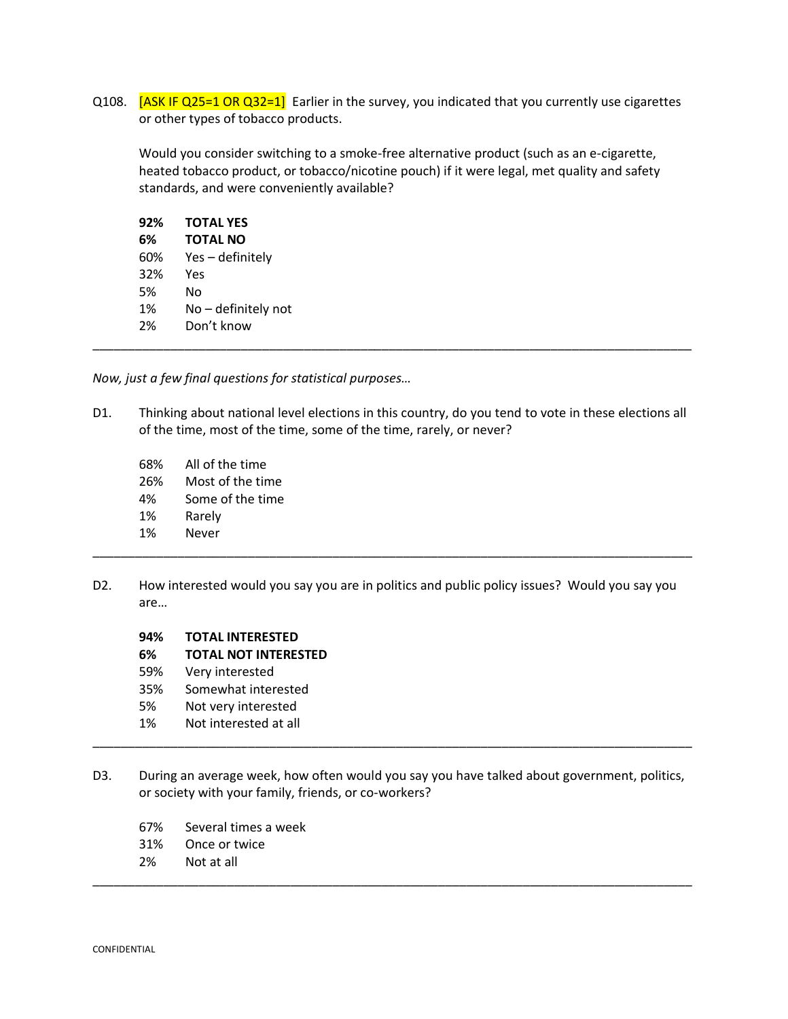Q108. [ASK IF Q25=1 OR Q32=1] Earlier in the survey, you indicated that you currently use cigarettes or other types of tobacco products.

Would you consider switching to a smoke-free alternative product (such as an e-cigarette, heated tobacco product, or tobacco/nicotine pouch) if it were legal, met quality and safety standards, and were conveniently available?

| 92% | <b>TOTAL YES</b>    |  |
|-----|---------------------|--|
| 6%  | <b>TOTAL NO</b>     |  |
| 60% | Yes-definitely      |  |
| 32% | Yes                 |  |
| 5%  | No.                 |  |
| 1%  | No - definitely not |  |
| 2%  | Don't know          |  |
|     |                     |  |

*Now, just a few final questions for statistical purposes…*

- D1. Thinking about national level elections in this country, do you tend to vote in these elections all of the time, most of the time, some of the time, rarely, or never?
	- 68% All of the time
	- 26% Most of the time
	- 4% Some of the time
	- 1% Rarely
	- 1% Never
- D2. How interested would you say you are in politics and public policy issues? Would you say you are…

\_\_\_\_\_\_\_\_\_\_\_\_\_\_\_\_\_\_\_\_\_\_\_\_\_\_\_\_\_\_\_\_\_\_\_\_\_\_\_\_\_\_\_\_\_\_\_\_\_\_\_\_\_\_\_\_\_\_\_\_\_\_\_\_\_\_\_\_\_\_\_\_\_\_\_\_\_\_\_\_\_\_\_\_\_

### **94% TOTAL INTERESTED**

- **6% TOTAL NOT INTERESTED**
- 59% Very interested
- 35% Somewhat interested
- 5% Not very interested
- 1% Not interested at all
- D3. During an average week, how often would you say you have talked about government, politics, or society with your family, friends, or co-workers?

\_\_\_\_\_\_\_\_\_\_\_\_\_\_\_\_\_\_\_\_\_\_\_\_\_\_\_\_\_\_\_\_\_\_\_\_\_\_\_\_\_\_\_\_\_\_\_\_\_\_\_\_\_\_\_\_\_\_\_\_\_\_\_\_\_\_\_\_\_\_\_\_\_\_\_\_\_\_\_\_\_\_\_\_\_

- 67% Several times a week
- 31% Once or twice
- 2% Not at all